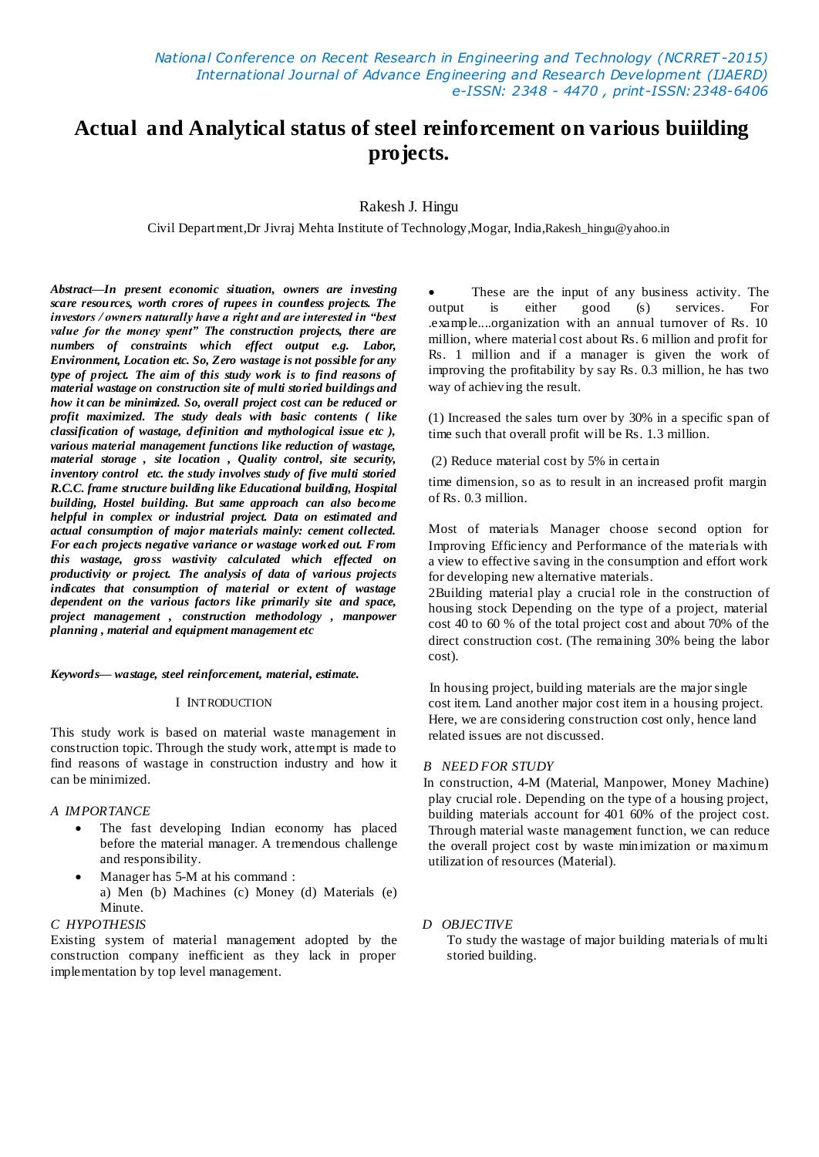# **Actual and Analytical status of steel reinforcement on various buiilding projects.**

## Rakesh J. Hingu

Civil Department,Dr Jivraj Mehta Institute of Technology,Mogar, India,Rakesh\_hingu@yahoo.in

*Abstract—In present economic situation, owners are investing scare resources, worth crores of rupees in countless projects. The investors / owners naturally have a right and are interested in "best value for the money spent" The construction projects, there are numbers of constraints which effect output e.g. Labor, Environment, Location etc. So, Zero wastage is not possible for any type of project. The aim of this study work is to find reasons of material wastage on construction site of multi storied buildings and how it can be minimized. So, overall project cost can be reduced or profit maximized. The study deals with basic contents ( like classification of wastage, definition and mythological issue etc ), various material management functions like reduction of wastage, material storage , site location , Quality control, site security, inventory control etc. the study involves study of five multi storied R.C.C. frame structure building like Educational building, Hospital building, Hostel building. But same approach can also become helpful in complex or industrial project. Data on estimated and actual consumption of major materials mainly: cement collected. For each projects negative variance or wastage worked out. From this wastage, gross wastivity calculated which effected on productivity or project. The analysis of data of various projects indicates that consumption of material or extent of wastage dependent on the various factors like primarily site and space, project management , construction methodology , manpower planning , material and equipment management etc*

*Keywords— wastage, steel reinforcement, material, estimate.*

#### I INTRODUCTION

This study work is based on material waste management in construction topic. Through the study work, attempt is made to find reasons of wastage in construction industry and how it can be minimized.

### *A IMPORTANCE*

- The fast developing Indian economy has placed before the material manager. A tremendous challenge and responsibility.
- Manager has 5-M at his command : a) Men (b) Machines (c) Money (d) Materials (e) Minute.

### *C HYPOTHESIS*

Existing system of material management adopted by the construction company inefficient as they lack in proper implementation by top level management.

 These are the input of any business activity. The output is either good (s) services. For .example....organization with an annual turnover of Rs. 10 million, where material cost about Rs. 6 million and profit for Rs. 1 million and if a manager is given the work of improving the profitability by say Rs. 0.3 million, he has two way of achieving the result.

(1) Increased the sales turn over by 30% in a specific span of time such that overall profit will be Rs. 1.3 million.

(2) Reduce material cost by 5% in certain

time dimension, so as to result in an increased profit margin of Rs. 0.3 million.

Most of materials Manager choose second option for Improving Efficiency and Performance of the materials with a view to effective saving in the consumption and effort work for developing new alternative materials.

2Building material play a crucial role in the construction of housing stock Depending on the type of a project, material cost 40 to 60 % of the total project cost and about 70% of the direct construction cost. (The remaining 30% being the labor cost).

In housing project, building materials are the major single cost item. Land another major cost item in a housing project. Here, we are considering construction cost only, hence land related issues are not discussed.

### *B NEED FOR STUDY*

 In construction, 4-M (Material, Manpower, Money Machine) play crucial role. Depending on the type of a housing project, building materials account for 401 60% of the project cost. Through material waste management function, we can reduce the overall project cost by waste minimization or maximum utilization of resources (Material).

### *D OBJECTIVE*

To study the wastage of major building materials of multi storied building.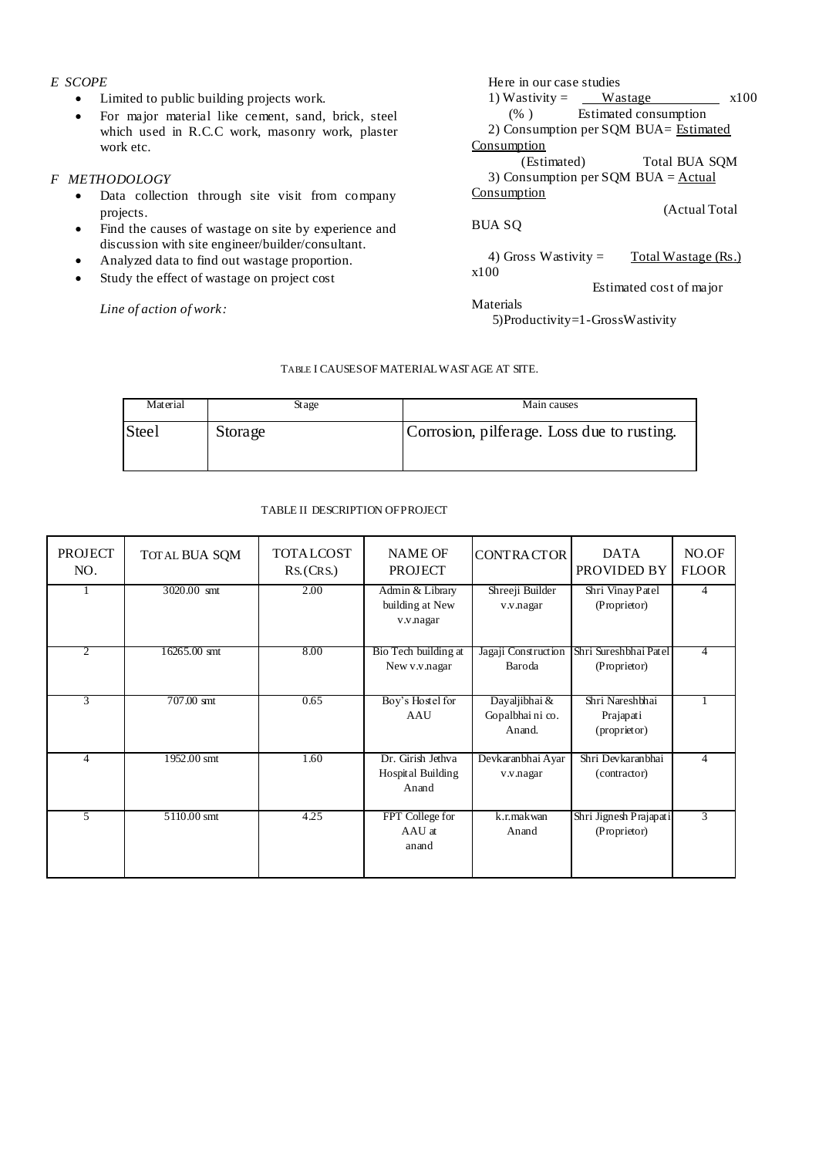# *E SCOPE*

- Limited to public building projects work.
- For major material like cement, sand, brick, steel which used in R.C.C work, masonry work, plaster work etc.

# *F METHODOLOGY*

- Data collection through site visit from company projects.
- Find the causes of wastage on site by experience and discussion with site engineer/builder/consultant.
- Analyzed data to find out wastage proportion.
- Study the effect of wastage on project cost

*Line of action of work:*

| Here in our case studies                             |      |
|------------------------------------------------------|------|
| 1) Wastivity = $\qquad$ Wastage                      | x100 |
| (%) Estimated consumption                            |      |
| 2) Consumption per SQM BUA= Estimated                |      |
| Consumption                                          |      |
| Total BUA SQM<br>(Estimated)                         |      |
| 3) Consumption per SQM BUA = $Actual$                |      |
| Consumption                                          |      |
| (Actual Total)                                       |      |
| BUA SO                                               |      |
| 4) Gross Wastivity $=$<br><u>Total Wastage (Rs.)</u> |      |
| x100                                                 |      |
| Estimated cost of major                              |      |
| Materials                                            |      |
| 5) Productivity=1 - Gross Wastivity                  |      |

# TABLE I CAUSESOF MATERIALWASTAGE AT SITE.

| Material     | Stage   | Main causes                                |
|--------------|---------|--------------------------------------------|
| <b>Steel</b> | Storage | Corrosion, pilferage. Loss due to rusting. |

### TABLE II DESCRIPTION OFPROJECT

| <b>PROJECT</b><br>NO. | TOTAL BUA SQM | TOTALCOST<br><b>NAME OF</b><br><b>PROJECT</b><br>RS(CRS) |                                                 | <b>CONTRACTOR</b>                                                      | <b>DATA</b><br>PROVIDED BY                   | NO.OF<br><b>FLOOR</b> |
|-----------------------|---------------|----------------------------------------------------------|-------------------------------------------------|------------------------------------------------------------------------|----------------------------------------------|-----------------------|
|                       | 3020.00 smt   | 2.00                                                     | Admin & Library<br>building at New<br>v.v.nagar | Shreeji Builder<br>v.v.nagar                                           | Shri Vinay Patel<br>(Proprietor)             | $\overline{4}$        |
| $\overline{2}$        | 16265.00 smt  | 8.00                                                     | Bio Tech building at<br>New v.v.nagar           | Shri Sureshbhai Patel<br>Jagaji Construction<br>Baroda<br>(Proprietor) |                                              | $\overline{4}$        |
| 3                     | 707.00 smt    | 0.65                                                     | Boy's Hostel for<br>AAU                         | Dayaljibhai &<br>Gopalbhai ni co.<br>Anand.                            | Shri Nareshbhai<br>Prajapati<br>(proprietor) |                       |
| $\overline{4}$        | 1952.00 smt   | 1.60                                                     | Dr. Girish Jethva<br>Hospital Building<br>Anand | Devkaranbhai Ayar<br>v.v.nagar                                         | Shri Devkaranbhai<br>(contractor)            | $\Delta$              |
| 5                     | 5110.00 smt   | 4.25                                                     | FPT College for<br>AAU at<br>anand              | k.r.makwan<br>Anand                                                    | Shri Jignesh Prajapati<br>(Proprietor)       | 3                     |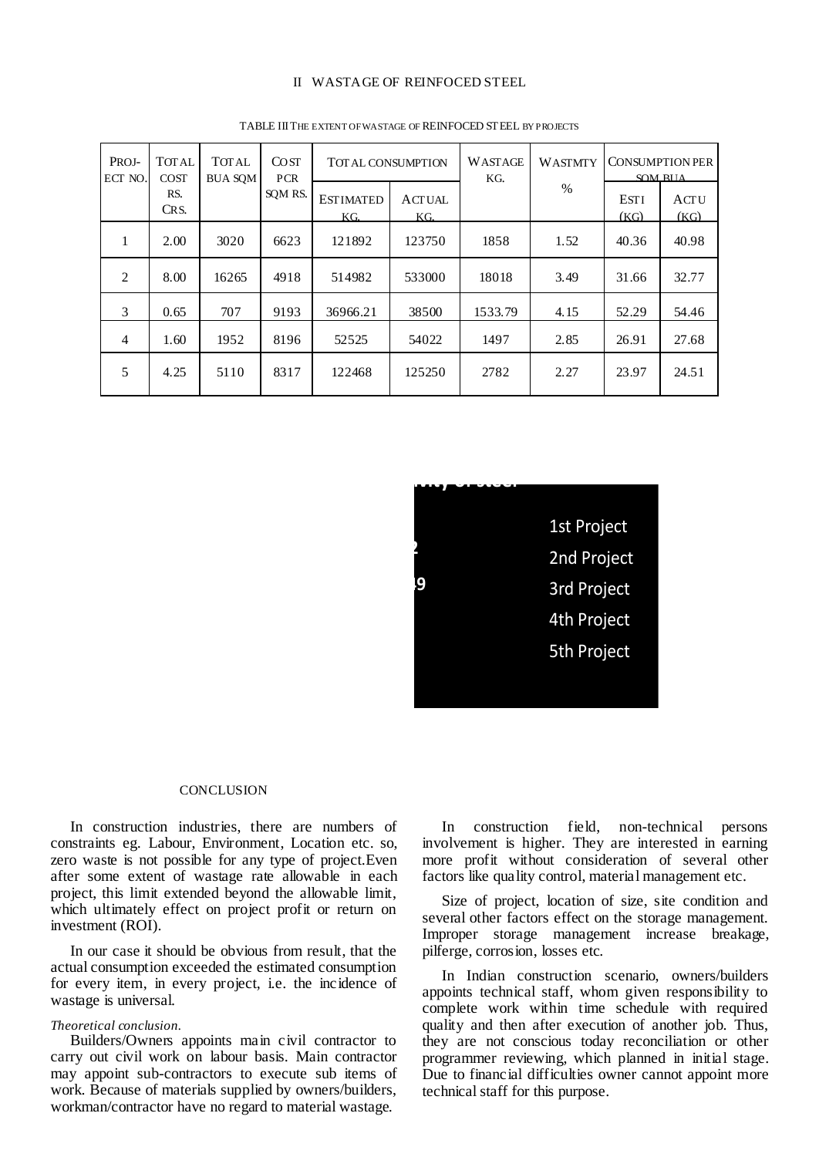### II WASTAGE OF REINFOCED STEEL

| PROJ-<br>ECT NO. | <b>TOTAL</b><br><b>COST</b> | <b>TOTAL</b><br><b>BUA SOM</b> | <b>COST</b><br><b>PCR</b> | <b>WASTAGE</b><br><b>TOTAL CONSUMPTION</b><br>KG. |                      | <b>WASTMTY</b> | <b>CONSUMPTION PER</b><br>SOM RIJA |                     |              |
|------------------|-----------------------------|--------------------------------|---------------------------|---------------------------------------------------|----------------------|----------------|------------------------------------|---------------------|--------------|
|                  | RS.<br>CRS.                 |                                | SOM RS.                   | <b>ESTIMATED</b><br>KG.                           | <b>ACTUAL</b><br>KG. |                | $\frac{0}{0}$                      | <b>ESTI</b><br>(KG) | ACTU<br>(KG) |
| 1                | 2.00                        | 3020                           | 6623                      | 121892                                            | 123750               | 1858           | 1.52                               | 40.36               | 40.98        |
| 2                | 8.00                        | 16265                          | 4918                      | 514982                                            | 533000               | 18018          | 3.49                               | 31.66               | 32.77        |
| 3                | 0.65                        | 707                            | 9193                      | 36966.21                                          | 38500                | 1533.79        | 4.15                               | 52.29               | 54.46        |
| $\overline{4}$   | 1.60                        | 1952                           | 8196                      | 52525                                             | 54022                | 1497           | 2.85                               | 26.91               | 27.68        |
| 5                | 4.25                        | 5110                           | 8317                      | 122468                                            | 125250               | 2782           | 2.27                               | 23.97               | 24.51        |

TABLE IIITHE EXTENT OF WASTAGE OF REINFOCED STEEL BY PROJECTS



#### CONCLUSION

In construction industries, there are numbers of constraints eg. Labour, Environment, Location etc. so, zero waste is not possible for any type of project.Even after some extent of wastage rate allowable in each project, this limit extended beyond the allowable limit, which ultimately effect on project profit or return on investment (ROI).

In our case it should be obvious from result, that the actual consumption exceeded the estimated consumption for every item, in every project, i.e. the incidence of wastage is universal.

#### *Theoretical conclusion.*

Builders/Owners appoints main civil contractor to carry out civil work on labour basis. Main contractor may appoint sub-contractors to execute sub items of work. Because of materials supplied by owners/builders, workman/contractor have no regard to material wastage.

In construction field, non-technical persons involvement is higher. They are interested in earning more profit without consideration of several other factors like quality control, material management etc.

Size of project, location of size, site condition and several other factors effect on the storage management. Improper storage management increase breakage, pilferge, corrosion, losses etc.

In Indian construction scenario, owners/builders appoints technical staff, whom given responsibility to complete work within time schedule with required quality and then after execution of another job. Thus, they are not conscious today reconciliation or other programmer reviewing, which planned in initial stage. Due to financial difficulties owner cannot appoint more technical staff for this purpose.